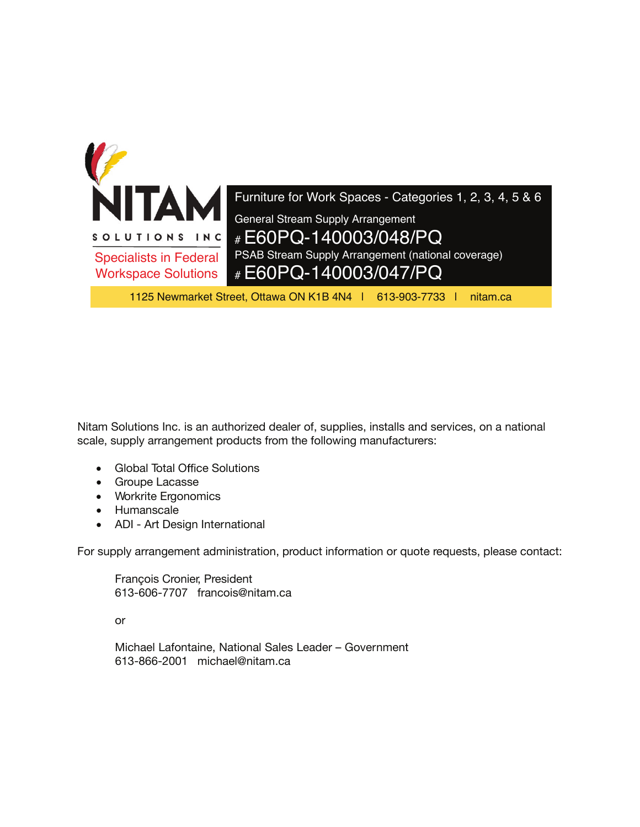

Nitam Solutions Inc. is an authorized dealer of, supplies, installs and services, on a national scale, supply arrangement products from the following manufacturers:

- Global Total Office Solutions
- Groupe Lacasse
- Workrite Ergonomics
- Humanscale
- ADI Art Design International

For supply arrangement administration, product information or quote requests, please contact:

François Cronier, President 613-606-7707 francois@nitam.ca

or

Michael Lafontaine, National Sales Leader – Government 613-866-2001 michael@nitam.ca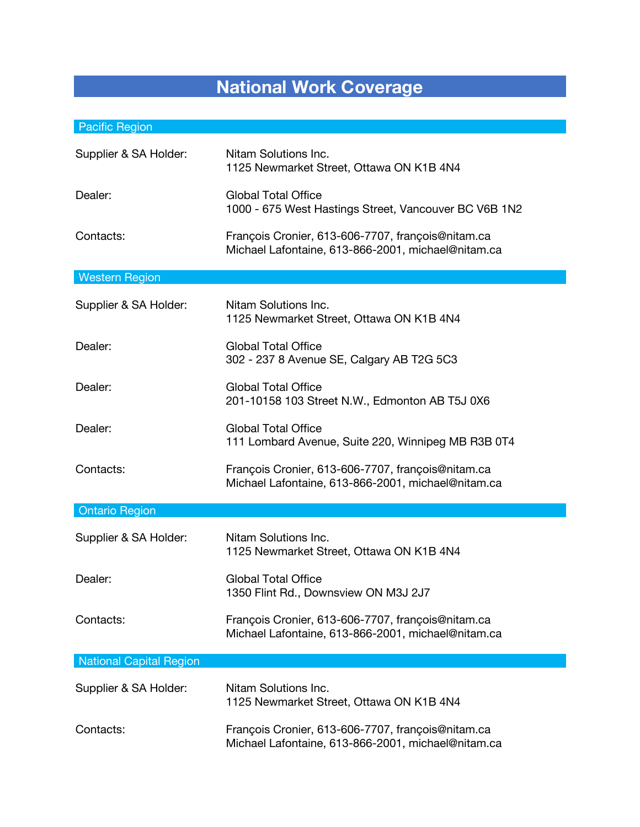## **National Work Coverage**

## Pacific Region

| Supplier & SA Holder:          | Nitam Solutions Inc.<br>1125 Newmarket Street, Ottawa ON K1B 4N4                                        |
|--------------------------------|---------------------------------------------------------------------------------------------------------|
| Dealer:                        | <b>Global Total Office</b><br>1000 - 675 West Hastings Street, Vancouver BC V6B 1N2                     |
| Contacts:                      | François Cronier, 613-606-7707, françois@nitam.ca<br>Michael Lafontaine, 613-866-2001, michael@nitam.ca |
| <b>Western Region</b>          |                                                                                                         |
| Supplier & SA Holder:          | Nitam Solutions Inc.<br>1125 Newmarket Street, Ottawa ON K1B 4N4                                        |
| Dealer:                        | <b>Global Total Office</b><br>302 - 237 8 Avenue SE, Calgary AB T2G 5C3                                 |
| Dealer:                        | <b>Global Total Office</b><br>201-10158 103 Street N.W., Edmonton AB T5J 0X6                            |
| Dealer:                        | <b>Global Total Office</b><br>111 Lombard Avenue, Suite 220, Winnipeg MB R3B 0T4                        |
| Contacts:                      | François Cronier, 613-606-7707, françois@nitam.ca<br>Michael Lafontaine, 613-866-2001, michael@nitam.ca |
| <b>Ontario Region</b>          |                                                                                                         |
| Supplier & SA Holder:          | Nitam Solutions Inc.<br>1125 Newmarket Street, Ottawa ON K1B 4N4                                        |
| Dealer:                        | <b>Global Total Office</b><br>1350 Flint Rd., Downsview ON M3J 2J7                                      |
| Contacts:                      | François Cronier, 613-606-7707, françois@nitam.ca<br>Michael Lafontaine, 613-866-2001, michael@nitam.ca |
| <b>National Capital Region</b> |                                                                                                         |
| Supplier & SA Holder:          | Nitam Solutions Inc.<br>1125 Newmarket Street, Ottawa ON K1B 4N4                                        |
| Contacts:                      | François Cronier, 613-606-7707, françois@nitam.ca<br>Michael Lafontaine, 613-866-2001, michael@nitam.ca |